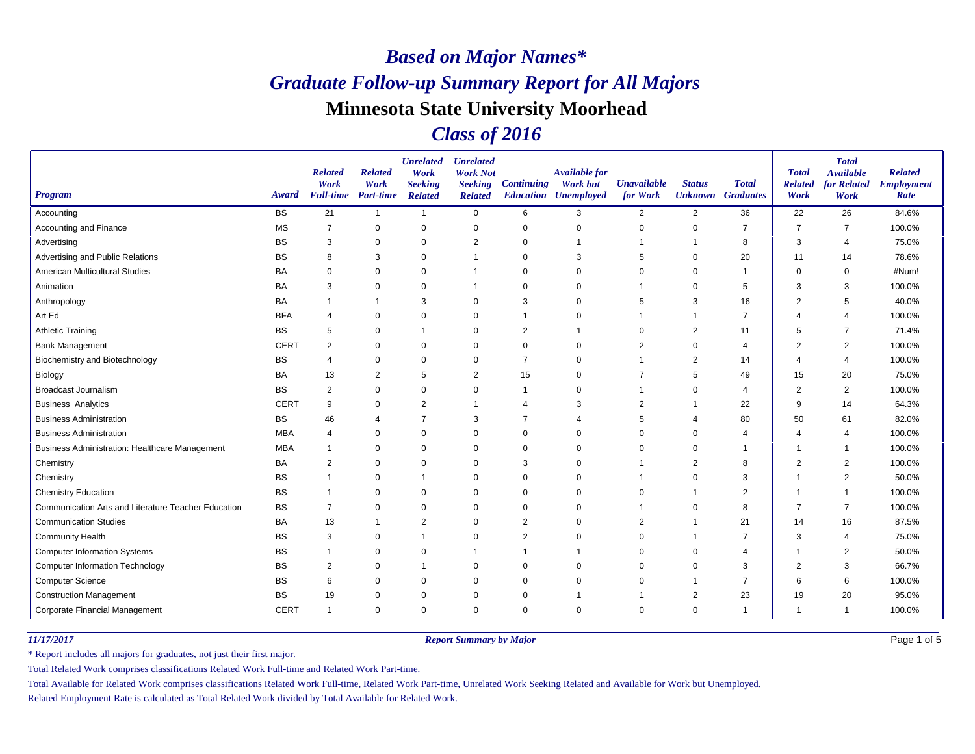### *Class of 2016*

| <b>Program</b>                                        | Award       | <b>Related</b><br>Work<br><b>Full-time</b> | <b>Related</b><br>Work<br><b>Part-time</b> | <b>Unrelated</b><br>Work<br><b>Seeking</b><br><b>Related</b> | <b>Unrelated</b><br><b>Work Not</b><br><b>Seeking</b><br><b>Related</b> | <b>Continuing</b> | <b>Available for</b><br><b>Work but</b><br><b>Education Unemployed</b> | <b>Unavailable</b><br>for Work | <b>Status</b><br><b>Unknown</b> Graduates | <b>Total</b>   | <b>Total</b><br><b>Related</b><br>Work | <b>Total</b><br><b>Available</b><br>for Related<br>Work | <b>Related</b><br><b>Employment</b><br>Rate |
|-------------------------------------------------------|-------------|--------------------------------------------|--------------------------------------------|--------------------------------------------------------------|-------------------------------------------------------------------------|-------------------|------------------------------------------------------------------------|--------------------------------|-------------------------------------------|----------------|----------------------------------------|---------------------------------------------------------|---------------------------------------------|
| Accounting                                            | <b>BS</b>   | 21                                         | $\mathbf{1}$                               | $\mathbf{1}$                                                 | $\mathbf 0$                                                             | 6                 | 3                                                                      | $\overline{2}$                 | 2                                         | 36             | 22                                     | 26                                                      | 84.6%                                       |
| Accounting and Finance                                | <b>MS</b>   | 7                                          | 0                                          | $\Omega$                                                     | 0                                                                       | 0                 | $\mathbf 0$                                                            | $\mathbf 0$                    | $\mathbf 0$                               | $\overline{7}$ | 7                                      | 7                                                       | 100.0%                                      |
| Advertising                                           | <b>BS</b>   | 3                                          | 0                                          | $\mathbf 0$                                                  | $\overline{2}$                                                          | 0                 |                                                                        |                                |                                           | 8              | 3                                      | $\overline{4}$                                          | 75.0%                                       |
| Advertising and Public Relations                      | BS          | 8                                          | 3                                          | $\Omega$                                                     |                                                                         | $\mathbf 0$       | 3                                                                      | 5                              | 0                                         | 20             | 11                                     | 14                                                      | 78.6%                                       |
| American Multicultural Studies                        | BA          | 0                                          | $\mathbf 0$                                | $\mathbf 0$                                                  |                                                                         | $\mathbf 0$       | $\Omega$                                                               | 0                              | $\mathbf 0$                               | $\mathbf{1}$   | $\Omega$                               | 0                                                       | #Num!                                       |
| Animation                                             | BA          | 3                                          | 0                                          | $\mathbf 0$                                                  |                                                                         | $\mathbf 0$       | $\Omega$                                                               |                                | $\mathbf 0$                               | 5              | 3                                      | 3                                                       | 100.0%                                      |
| Anthropology                                          | BA          |                                            |                                            | 3                                                            | $\mathbf 0$                                                             | 3                 | $\Omega$                                                               | 5                              | 3                                         | 16             | $\overline{2}$                         | 5                                                       | 40.0%                                       |
| Art Ed                                                | <b>BFA</b>  | 4                                          | $\mathbf 0$                                | $\mathbf 0$                                                  | $\mathbf 0$                                                             |                   | 0                                                                      |                                |                                           | $\overline{7}$ |                                        | $\overline{4}$                                          | 100.0%                                      |
| <b>Athletic Training</b>                              | <b>BS</b>   | 5                                          | $\mathbf 0$                                | -1                                                           | $\mathbf 0$                                                             | 2                 |                                                                        | 0                              | $\overline{2}$                            | 11             | 5                                      | -7                                                      | 71.4%                                       |
| <b>Bank Management</b>                                | <b>CERT</b> | 2                                          | 0                                          | $\Omega$                                                     | 0                                                                       | 0                 | $\Omega$                                                               | 2                              | $\Omega$                                  | 4              | $\overline{2}$                         | 2                                                       | 100.0%                                      |
| <b>Biochemistry and Biotechnology</b>                 | <b>BS</b>   | 4                                          | 0                                          | $\mathbf 0$                                                  | 0                                                                       | $\overline{7}$    | $\Omega$                                                               |                                | $\overline{2}$                            | 14             | Δ                                      | $\overline{4}$                                          | 100.0%                                      |
| Biology                                               | BA          | 13                                         | $\overline{c}$                             | 5                                                            | $\overline{2}$                                                          | 15                | $\Omega$                                                               | 7                              | 5                                         | 49             | 15                                     | 20                                                      | 75.0%                                       |
| <b>Broadcast Journalism</b>                           | <b>BS</b>   | 2                                          | 0                                          | $\mathbf 0$                                                  | $\mathbf 0$                                                             | -1                | $\Omega$                                                               |                                | $\Omega$                                  | $\overline{4}$ | 2                                      | $\overline{2}$                                          | 100.0%                                      |
| <b>Business Analytics</b>                             | <b>CERT</b> | 9                                          | $\mathbf 0$                                | $\overline{2}$                                               | -1                                                                      | 4                 | 3                                                                      | 2                              |                                           | 22             | 9                                      | 14                                                      | 64.3%                                       |
| <b>Business Administration</b>                        | <b>BS</b>   | 46                                         | 4                                          | 7                                                            | 3                                                                       | 7                 | 4                                                                      | 5                              | 4                                         | 80             | 50                                     | 61                                                      | 82.0%                                       |
| <b>Business Administration</b>                        | <b>MBA</b>  | 4                                          | 0                                          | $\mathbf 0$                                                  | 0                                                                       | $\mathbf 0$       | $\Omega$                                                               | $\mathbf 0$                    | $\mathbf 0$                               | $\overline{4}$ | 4                                      | $\overline{4}$                                          | 100.0%                                      |
| <b>Business Administration: Healthcare Management</b> | <b>MBA</b>  | $\overline{1}$                             | 0                                          | 0                                                            | 0                                                                       | $\mathbf 0$       | $\Omega$                                                               | 0                              | 0                                         | -1             | -1                                     | -1                                                      | 100.0%                                      |
| Chemistry                                             | BA          | 2                                          | 0                                          | $\Omega$                                                     | 0                                                                       | 3                 | $\Omega$                                                               |                                | 2                                         | 8              | 2                                      | $\overline{2}$                                          | 100.0%                                      |
| Chemistry                                             | <b>BS</b>   |                                            | $\mathbf 0$                                | $\overline{1}$                                               | $\mathbf 0$                                                             | $\mathbf 0$       | $\Omega$                                                               |                                | $\Omega$                                  | 3              | 1                                      | $\overline{2}$                                          | 50.0%                                       |
| <b>Chemistry Education</b>                            | BS          | -1                                         | 0                                          | $\mathbf 0$                                                  | 0                                                                       | 0                 | $\Omega$                                                               | 0                              |                                           | 2              | -1                                     | -1                                                      | 100.0%                                      |
| Communication Arts and Literature Teacher Education   | <b>BS</b>   | $\overline{7}$                             | $\mathbf 0$                                | $\mathbf 0$                                                  | $\mathbf 0$                                                             | $\mathbf 0$       | $\Omega$                                                               |                                | $\mathbf 0$                               | 8              | $\overline{7}$                         | $\overline{7}$                                          | 100.0%                                      |
| <b>Communication Studies</b>                          | BA          | 13                                         |                                            | $\overline{2}$                                               | $\mathbf 0$                                                             | $\overline{2}$    | $\Omega$                                                               | $\overline{2}$                 |                                           | 21             | 14                                     | 16                                                      | 87.5%                                       |
| <b>Community Health</b>                               | BS          | 3                                          | 0                                          | $\overline{1}$                                               | 0                                                                       | 2                 | $\Omega$                                                               | 0                              |                                           | $\overline{7}$ | 3                                      | $\overline{4}$                                          | 75.0%                                       |
| <b>Computer Information Systems</b>                   | BS          | 1                                          | $\mathbf 0$                                | $\mathbf 0$                                                  | -1                                                                      |                   |                                                                        | $\mathbf 0$                    | 0                                         | 4              |                                        | $\overline{2}$                                          | 50.0%                                       |
| <b>Computer Information Technology</b>                | <b>BS</b>   | $\overline{2}$                             | $\mathbf 0$                                | $\overline{1}$                                               | $\mathbf 0$                                                             | $\mathbf 0$       | $\Omega$                                                               | $\mathbf 0$                    | $\mathbf 0$                               | 3              | $\overline{2}$                         | 3                                                       | 66.7%                                       |
| <b>Computer Science</b>                               | BS          | 6                                          | 0                                          | 0                                                            | 0                                                                       | $\Omega$          | $\Omega$                                                               | 0                              |                                           | $\overline{7}$ | 6                                      | 6                                                       | 100.0%                                      |
| <b>Construction Management</b>                        | <b>BS</b>   | 19                                         | 0                                          | $\mathbf 0$                                                  | 0                                                                       | 0                 |                                                                        |                                | 2                                         | 23             | 19                                     | 20                                                      | 95.0%                                       |
| Corporate Financial Management                        | <b>CERT</b> | $\overline{1}$                             | $\mathbf 0$                                | $\Omega$                                                     | $\mathbf 0$                                                             | $\mathbf 0$       | $\Omega$                                                               | $\Omega$                       | $\mathbf 0$                               | $\mathbf{1}$   | 1                                      |                                                         | 100.0%                                      |

*11/17/2017 Report Summary by Major*

Page 1 of 5

\* Report includes all majors for graduates, not just their first major.

Total Related Work comprises classifications Related Work Full-time and Related Work Part-time.

Total Available for Related Work comprises classifications Related Work Full-time, Related Work Part-time, Unrelated Work Seeking Related and Available for Work but Unemployed.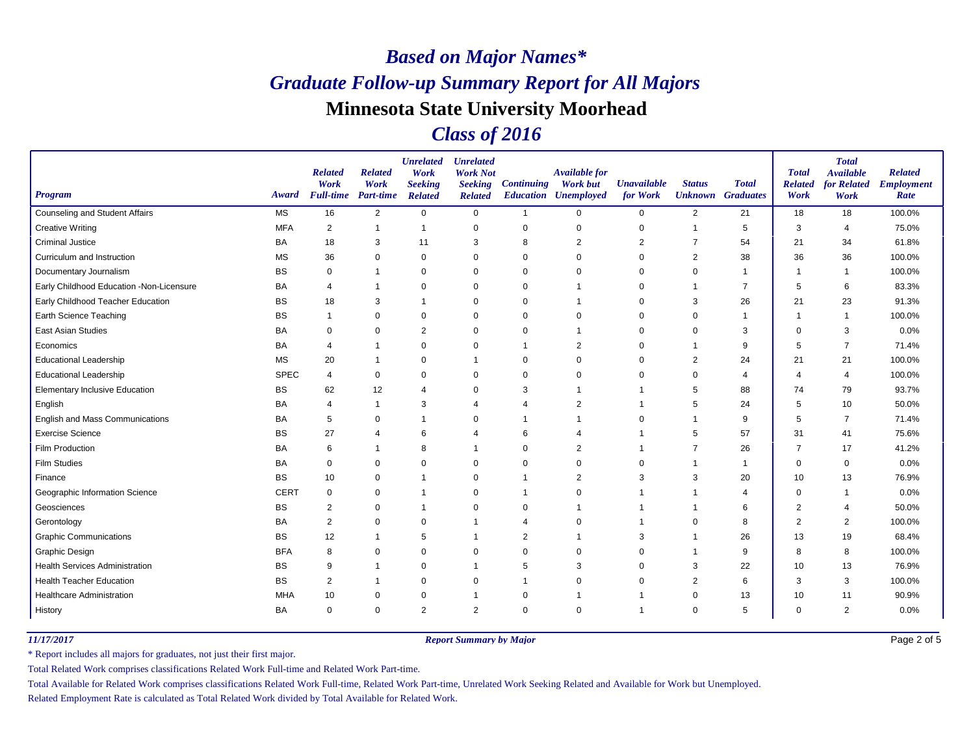### *Class of 2016*

| <b>Program</b>                           | Award       | <b>Related</b><br>Work<br><b>Full-time</b> | <b>Related</b><br>Work<br>Part-time | <b>Unrelated</b><br>Work<br><b>Seeking</b><br><b>Related</b> | <b>Unrelated</b><br><b>Work Not</b><br><b>Seeking</b><br><b>Related</b> | <b>Continuing</b> | <b>Available for</b><br><b>Work but</b><br><b>Education Unemployed</b> | <b>Unavailable</b><br>for Work | <b>Status</b><br><b>Unknown</b> Graduates | <b>Total</b>   | <b>Total</b><br><b>Related</b><br>Work | <b>Total</b><br><b>Available</b><br>for Related<br>Work | <b>Related</b><br><b>Employment</b><br>Rate |
|------------------------------------------|-------------|--------------------------------------------|-------------------------------------|--------------------------------------------------------------|-------------------------------------------------------------------------|-------------------|------------------------------------------------------------------------|--------------------------------|-------------------------------------------|----------------|----------------------------------------|---------------------------------------------------------|---------------------------------------------|
| <b>Counseling and Student Affairs</b>    | <b>MS</b>   | 16                                         | 2                                   | $\mathbf 0$                                                  | $\mathbf 0$                                                             | $\overline{1}$    | $\Omega$                                                               | 0                              | $\overline{2}$                            | 21             | 18                                     | 18                                                      | 100.0%                                      |
| <b>Creative Writing</b>                  | <b>MFA</b>  | $\overline{2}$                             | $\mathbf 1$                         | $\mathbf 1$                                                  | $\pmb{0}$                                                               | $\mathbf 0$       | $\mathbf 0$                                                            | 0                              | $\overline{1}$                            | 5              | 3                                      | $\overline{4}$                                          | 75.0%                                       |
| <b>Criminal Justice</b>                  | <b>BA</b>   | 18                                         | 3                                   | 11                                                           | 3                                                                       | 8                 | $\overline{2}$                                                         | $\overline{2}$                 | 7                                         | 54             | 21                                     | 34                                                      | 61.8%                                       |
| Curriculum and Instruction               | <b>MS</b>   | 36                                         | $\Omega$                            | $\Omega$                                                     | $\mathbf 0$                                                             | $\mathbf 0$       | $\Omega$                                                               | $\Omega$                       | 2                                         | 38             | 36                                     | 36                                                      | 100.0%                                      |
| Documentary Journalism                   | <b>BS</b>   | 0                                          | -1                                  | $\mathbf 0$                                                  | $\mathbf 0$                                                             | 0                 | $\mathbf 0$                                                            | 0                              | 0                                         | $\mathbf{1}$   | -1                                     | -1                                                      | 100.0%                                      |
| Early Childhood Education -Non-Licensure | BA          | $\overline{4}$                             |                                     | $\Omega$                                                     | 0                                                                       | 0                 |                                                                        | $\Omega$                       | -1                                        | 7              | 5                                      | 6                                                       | 83.3%                                       |
| Early Childhood Teacher Education        | <b>BS</b>   | 18                                         | 3                                   | $\mathbf 1$                                                  | $\mathbf 0$                                                             | $\mathbf 0$       |                                                                        | 0                              | 3                                         | 26             | 21                                     | 23                                                      | 91.3%                                       |
| Earth Science Teaching                   | <b>BS</b>   | $\overline{1}$                             | $\mathbf 0$                         | 0                                                            | 0                                                                       | 0                 | $\Omega$                                                               | 0                              | 0                                         | $\mathbf{1}$   |                                        | -1                                                      | 100.0%                                      |
| East Asian Studies                       | BA          | $\mathbf 0$                                | $\mathbf 0$                         | $\overline{2}$                                               | $\mathbf 0$                                                             | $\mathbf 0$       |                                                                        | $\mathbf 0$                    | $\mathbf 0$                               | 3              | $\Omega$                               | 3                                                       | 0.0%                                        |
| Economics                                | <b>BA</b>   | $\overline{4}$                             |                                     | $\Omega$                                                     | 0                                                                       |                   | $\overline{2}$                                                         | 0                              |                                           | 9              | 5                                      | $\overline{7}$                                          | 71.4%                                       |
| <b>Educational Leadership</b>            | <b>MS</b>   | 20                                         | -1                                  | $\mathbf 0$                                                  | -1                                                                      | 0                 | $\Omega$                                                               | 0                              | 2                                         | 24             | 21                                     | 21                                                      | 100.0%                                      |
| <b>Educational Leadership</b>            | <b>SPEC</b> | $\overline{4}$                             | $\mathbf 0$                         | $\mathbf 0$                                                  | $\mathbf 0$                                                             | $\mathbf 0$       | $\Omega$                                                               | 0                              | $\mathbf 0$                               | 4              | Δ                                      | $\overline{4}$                                          | 100.0%                                      |
| <b>Elementary Inclusive Education</b>    | <b>BS</b>   | 62                                         | 12                                  | $\overline{4}$                                               | $\mathbf 0$                                                             | 3                 |                                                                        |                                | 5                                         | 88             | 74                                     | 79                                                      | 93.7%                                       |
| English                                  | BA          | $\overline{4}$                             | $\mathbf 1$                         | 3                                                            | 4                                                                       | 4                 | $\overline{2}$                                                         |                                | 5                                         | 24             | 5                                      | 10                                                      | 50.0%                                       |
| English and Mass Communications          | BA          | 5                                          | 0                                   | $\overline{1}$                                               | $\mathbf 0$                                                             |                   |                                                                        | $\Omega$                       |                                           | 9              | 5                                      | $\overline{7}$                                          | 71.4%                                       |
| <b>Exercise Science</b>                  | <b>BS</b>   | 27                                         | 4                                   | 6                                                            | Δ                                                                       | 6                 | ⊿                                                                      |                                | 5                                         | 57             | 31                                     | 41                                                      | 75.6%                                       |
| Film Production                          | BA          | 6                                          | $\mathbf 1$                         | 8                                                            | -1                                                                      | 0                 | $\overline{2}$                                                         |                                |                                           | 26             | 7                                      | 17                                                      | 41.2%                                       |
| <b>Film Studies</b>                      | BA          | $\mathbf 0$                                | $\mathbf 0$                         | $\Omega$                                                     | $\mathbf 0$                                                             | $\mathbf 0$       | $\Omega$                                                               | 0                              |                                           | $\mathbf{1}$   | $\Omega$                               | $\mathbf 0$                                             | 0.0%                                        |
| Finance                                  | <b>BS</b>   | 10                                         | $\Omega$                            | $\overline{1}$                                               | $\mathbf 0$                                                             |                   | $\overline{2}$                                                         | 3                              | 3                                         | 20             | 10                                     | 13                                                      | 76.9%                                       |
| Geographic Information Science           | <b>CERT</b> | $\mathbf 0$                                | 0                                   | $\mathbf 1$                                                  | 0                                                                       |                   | 0                                                                      |                                |                                           | $\overline{4}$ | $\Omega$                               | $\overline{1}$                                          | 0.0%                                        |
| Geosciences                              | BS          | $\overline{2}$                             | $\mathbf 0$                         | -1                                                           | $\mathbf 0$                                                             | $\mathbf 0$       |                                                                        |                                |                                           | 6              | $\overline{2}$                         | $\overline{4}$                                          | 50.0%                                       |
| Gerontology                              | <b>BA</b>   | $\overline{2}$                             | $\mathbf 0$                         | $\Omega$                                                     |                                                                         | 4                 | $\Omega$                                                               |                                | $\Omega$                                  | 8              | $\overline{2}$                         | $\overline{2}$                                          | 100.0%                                      |
| <b>Graphic Communications</b>            | <b>BS</b>   | 12                                         | -1                                  | 5                                                            | -1                                                                      | 2                 | -1                                                                     | 3                              | -1                                        | 26             | 13                                     | 19                                                      | 68.4%                                       |
| Graphic Design                           | <b>BFA</b>  | 8                                          | $\mathbf 0$                         | $\mathbf 0$                                                  | 0                                                                       | $\mathbf 0$       | $\Omega$                                                               | 0                              |                                           | 9              | 8                                      | 8                                                       | 100.0%                                      |
| <b>Health Services Administration</b>    | <b>BS</b>   | 9                                          |                                     | $\Omega$                                                     |                                                                         | 5                 | 3                                                                      | $\Omega$                       | 3                                         | 22             | 10                                     | 13                                                      | 76.9%                                       |
| <b>Health Teacher Education</b>          | <b>BS</b>   | $\overline{2}$                             |                                     | $\mathbf 0$                                                  | 0                                                                       |                   | 0                                                                      | 0                              | 2                                         | 6              | 3                                      | 3                                                       | 100.0%                                      |
| <b>Healthcare Administration</b>         | <b>MHA</b>  | 10                                         | 0                                   | 0                                                            |                                                                         | 0                 |                                                                        |                                | $\mathbf 0$                               | 13             | 10                                     | 11                                                      | 90.9%                                       |
| History                                  | <b>BA</b>   | $\mathbf 0$                                | $\Omega$                            | $\overline{2}$                                               | $\overline{2}$                                                          | $\mathbf 0$       | $\Omega$                                                               |                                | $\Omega$                                  | 5              | $\Omega$                               | 2                                                       | 0.0%                                        |

*11/17/2017 Report Summary by Major*

Page 2 of 5

\* Report includes all majors for graduates, not just their first major.

Total Related Work comprises classifications Related Work Full-time and Related Work Part-time.

Total Available for Related Work comprises classifications Related Work Full-time, Related Work Part-time, Unrelated Work Seeking Related and Available for Work but Unemployed.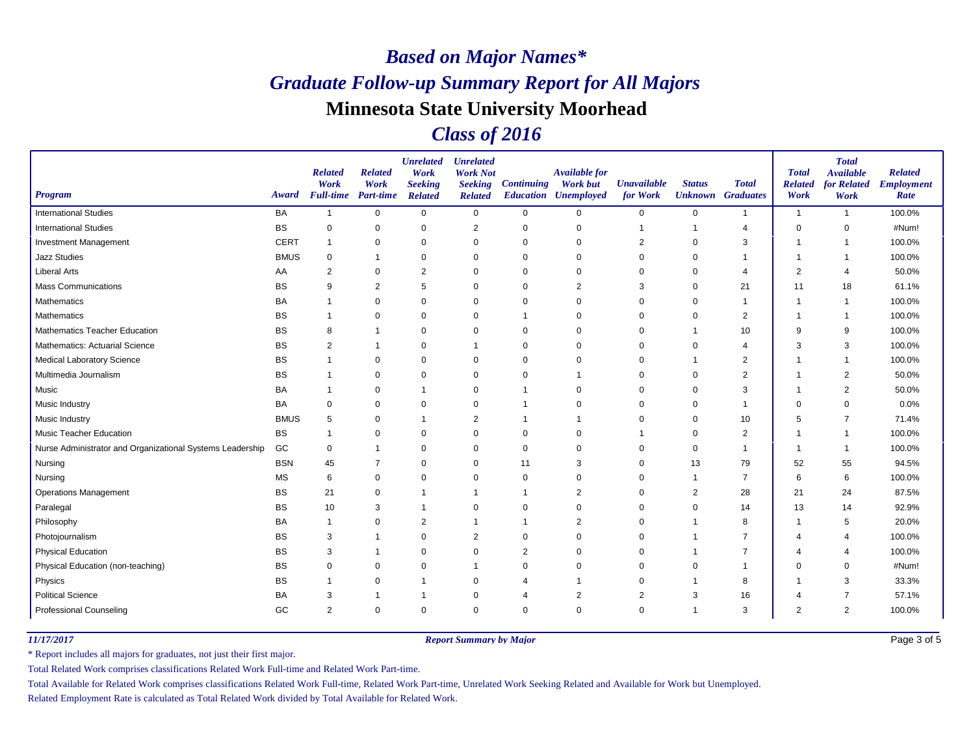### *Class of 2016*

| <b>Program</b>                                            | Award       | <b>Related</b><br>Work<br><b>Full-time</b> | <b>Related</b><br>Work<br><b>Part-time</b> | <b>Unrelated</b><br>Work<br><b>Seeking</b><br><b>Related</b> | <b>Unrelated</b><br><b>Work Not</b><br><b>Seeking</b><br><b>Related</b> | <b>Continuing</b> | <b>Available for</b><br><b>Work but</b><br><b>Education Unemployed</b> | <b>Unavailable</b><br>for Work | <b>Status</b><br><b>Unknown</b> Graduates | <b>Total</b>   | <b>Total</b><br><b>Related</b><br>Work | <b>Total</b><br><b>Available</b><br>for Related<br>Work | <b>Related</b><br><b>Employment</b><br>Rate |
|-----------------------------------------------------------|-------------|--------------------------------------------|--------------------------------------------|--------------------------------------------------------------|-------------------------------------------------------------------------|-------------------|------------------------------------------------------------------------|--------------------------------|-------------------------------------------|----------------|----------------------------------------|---------------------------------------------------------|---------------------------------------------|
| <b>International Studies</b>                              | <b>BA</b>   | $\overline{1}$                             | $\mathbf 0$                                | $\mathbf 0$                                                  | $\mathbf 0$                                                             | $\mathbf 0$       | $\mathbf 0$                                                            | 0                              | 0                                         | $\mathbf{1}$   | $\overline{1}$                         | $\overline{1}$                                          | 100.0%                                      |
| <b>International Studies</b>                              | BS          | $\mathbf 0$                                | $\mathbf 0$                                | $\mathbf 0$                                                  | $\overline{2}$                                                          | $\mathbf 0$       | $\mathbf 0$                                                            |                                | 1                                         | $\overline{4}$ | $\mathbf 0$                            | $\mathbf 0$                                             | #Num!                                       |
| <b>Investment Management</b>                              | <b>CERT</b> | $\mathbf 1$                                | 0                                          | $\mathbf 0$                                                  | 0                                                                       | $\mathbf 0$       | $\mathbf 0$                                                            | $\overline{2}$                 | 0                                         | 3              |                                        | -1                                                      | 100.0%                                      |
| <b>Jazz Studies</b>                                       | <b>BMUS</b> | $\mathbf 0$                                | $\mathbf 1$                                | $\mathbf 0$                                                  | 0                                                                       | $\mathbf 0$       | $\Omega$                                                               | $\Omega$                       | $\Omega$                                  |                | $\overline{\phantom{a}}$               | -1                                                      | 100.0%                                      |
| <b>Liberal Arts</b>                                       | AA          | $\overline{2}$                             | $\mathbf 0$                                | $\overline{2}$                                               | $\mathbf 0$                                                             | $\mathbf 0$       | $\Omega$                                                               | 0                              | 0                                         | 4              | $\overline{2}$                         | 4                                                       | 50.0%                                       |
| <b>Mass Communications</b>                                | <b>BS</b>   | 9                                          | 2                                          | 5                                                            | 0                                                                       | 0                 | $\overline{2}$                                                         | 3                              | 0                                         | 21             | 11                                     | 18                                                      | 61.1%                                       |
| Mathematics                                               | <b>BA</b>   |                                            | $\mathbf 0$                                | $\mathbf 0$                                                  | 0                                                                       | $\mathbf 0$       | $\Omega$                                                               | 0                              | $\mathbf 0$                               | $\mathbf{1}$   | $\overline{\phantom{a}}$               | $\overline{\mathbf{1}}$                                 | 100.0%                                      |
| Mathematics                                               | <b>BS</b>   |                                            | $\mathbf 0$                                | $\mathbf 0$                                                  | $\mathbf 0$                                                             |                   | $\Omega$                                                               | 0                              | $\mathbf 0$                               | $\overline{2}$ | -1                                     |                                                         | 100.0%                                      |
| <b>Mathematics Teacher Education</b>                      | <b>BS</b>   | 8                                          |                                            | $\mathbf 0$                                                  | $\mathbf 0$                                                             | 0                 | $\mathbf 0$                                                            | $\mathbf 0$                    | -1                                        | 10             | 9                                      | 9                                                       | 100.0%                                      |
| <b>Mathematics: Actuarial Science</b>                     | <b>BS</b>   | $\overline{2}$                             | $\mathbf 1$                                | $\Omega$                                                     |                                                                         | $\mathbf 0$       | $\Omega$                                                               | 0                              | $\Omega$                                  | $\overline{4}$ | 3                                      | 3                                                       | 100.0%                                      |
| <b>Medical Laboratory Science</b>                         | <b>BS</b>   |                                            | $\mathbf 0$                                | $\mathbf 0$                                                  | $\mathbf 0$                                                             | 0                 | $\Omega$                                                               | 0                              | -1                                        | $\overline{2}$ | $\overline{1}$                         | -1                                                      | 100.0%                                      |
| Multimedia Journalism                                     | <b>BS</b>   |                                            | $\mathbf 0$                                | $\mathbf 0$                                                  | 0                                                                       | $\mathbf 0$       | -1                                                                     | $\mathbf 0$                    | 0                                         | $\overline{2}$ | -1                                     | $\overline{2}$                                          | 50.0%                                       |
| Music                                                     | <b>BA</b>   |                                            | $\mathbf 0$                                | $\overline{1}$                                               | $\mathbf 0$                                                             |                   | $\mathbf 0$                                                            | 0                              | $\mathbf 0$                               | 3              | $\overline{1}$                         | $\overline{2}$                                          | 50.0%                                       |
| Music Industry                                            | <b>BA</b>   | 0                                          | $\mathbf 0$                                | $\mathbf 0$                                                  | $\mathbf 0$                                                             |                   | 0                                                                      | 0                              | 0                                         | -1             | $\Omega$                               | $\mathbf 0$                                             | 0.0%                                        |
| Music Industry                                            | <b>BMUS</b> | 5                                          | 0                                          | $\overline{1}$                                               | $\overline{2}$                                                          |                   | -1                                                                     | 0                              | 0                                         | 10             | 5                                      | 7                                                       | 71.4%                                       |
| <b>Music Teacher Education</b>                            | <b>BS</b>   | 1                                          | $\mathbf 0$                                | $\mathbf 0$                                                  | 0                                                                       | $\mathbf 0$       | $\mathbf 0$                                                            |                                | $\mathbf 0$                               | 2              |                                        | -1                                                      | 100.0%                                      |
| Nurse Administrator and Organizational Systems Leadership | GC          | 0                                          | $\mathbf 1$                                | $\mathbf 0$                                                  | $\mathbf 0$                                                             | 0                 | $\Omega$                                                               | 0                              | $\mathbf 0$                               | $\overline{1}$ | -1                                     | -1                                                      | 100.0%                                      |
| Nursing                                                   | <b>BSN</b>  | 45                                         | $\overline{7}$                             | $\mathbf 0$                                                  | $\pmb{0}$                                                               | 11                | 3                                                                      | $\mathbf 0$                    | 13                                        | 79             | 52                                     | 55                                                      | 94.5%                                       |
| Nursing                                                   | <b>MS</b>   | 6                                          | 0                                          | $\Omega$                                                     | $\mathbf 0$                                                             | $\mathbf 0$       | $\Omega$                                                               | 0                              | $\mathbf{1}$                              | $\overline{7}$ | 6                                      | 6                                                       | 100.0%                                      |
| <b>Operations Management</b>                              | <b>BS</b>   | 21                                         | 0                                          | $\mathbf 1$                                                  |                                                                         |                   | $\overline{2}$                                                         | 0                              | 2                                         | 28             | 21                                     | 24                                                      | 87.5%                                       |
| Paralegal                                                 | <b>BS</b>   | 10                                         | 3                                          | -1                                                           | $\mathbf 0$                                                             | $\mathbf 0$       | $\mathbf 0$                                                            | $\mathbf 0$                    | $\mathbf 0$                               | 14             | 13                                     | 14                                                      | 92.9%                                       |
| Philosophy                                                | <b>BA</b>   | $\mathbf{1}$                               | $\mathbf 0$                                | $\overline{2}$                                               |                                                                         |                   | $\overline{2}$                                                         | 0                              | -1                                        | 8              | $\overline{\phantom{a}}$               | 5                                                       | 20.0%                                       |
| Photojournalism                                           | <b>BS</b>   | 3                                          | -1                                         | $\mathbf 0$                                                  | $\overline{2}$                                                          | $\mathbf 0$       | $\Omega$                                                               | 0                              | -1                                        | 7              | 4                                      | 4                                                       | 100.0%                                      |
| <b>Physical Education</b>                                 | <b>BS</b>   | 3                                          | -1                                         | $\mathbf 0$                                                  | 0                                                                       | 2                 | $\mathbf 0$                                                            | 0                              |                                           |                | 4                                      | $\overline{4}$                                          | 100.0%                                      |
| Physical Education (non-teaching)                         | <b>BS</b>   | 0                                          | $\mathbf 0$                                | $\overline{0}$                                               |                                                                         | $\mathbf 0$       | $\mathbf 0$                                                            | 0                              | $\mathbf 0$                               |                | $\Omega$                               | $\mathbf 0$                                             | #Num!                                       |
| Physics                                                   | <b>BS</b>   |                                            | 0                                          | $\mathbf 1$                                                  | 0                                                                       |                   | -1                                                                     | 0                              | -1                                        | 8              | $\overline{\phantom{a}}$               | 3                                                       | 33.3%                                       |
| <b>Political Science</b>                                  | BA          | 3                                          | -1                                         |                                                              | 0                                                                       | 4                 | $\overline{2}$                                                         | 2                              | 3                                         | 16             | 4                                      | $\overline{7}$                                          | 57.1%                                       |
| Professional Counseling                                   | GC          | $\overline{2}$                             | $\mathbf 0$                                | $\mathbf 0$                                                  | $\mathbf 0$                                                             | $\mathbf 0$       | $\Omega$                                                               | $\mathbf 0$                    | 1                                         | 3              | 2                                      | $\overline{2}$                                          | 100.0%                                      |

*11/17/2017 Report Summary by Major*

Page 3 of 5

\* Report includes all majors for graduates, not just their first major.

Total Related Work comprises classifications Related Work Full-time and Related Work Part-time.

Total Available for Related Work comprises classifications Related Work Full-time, Related Work Part-time, Unrelated Work Seeking Related and Available for Work but Unemployed.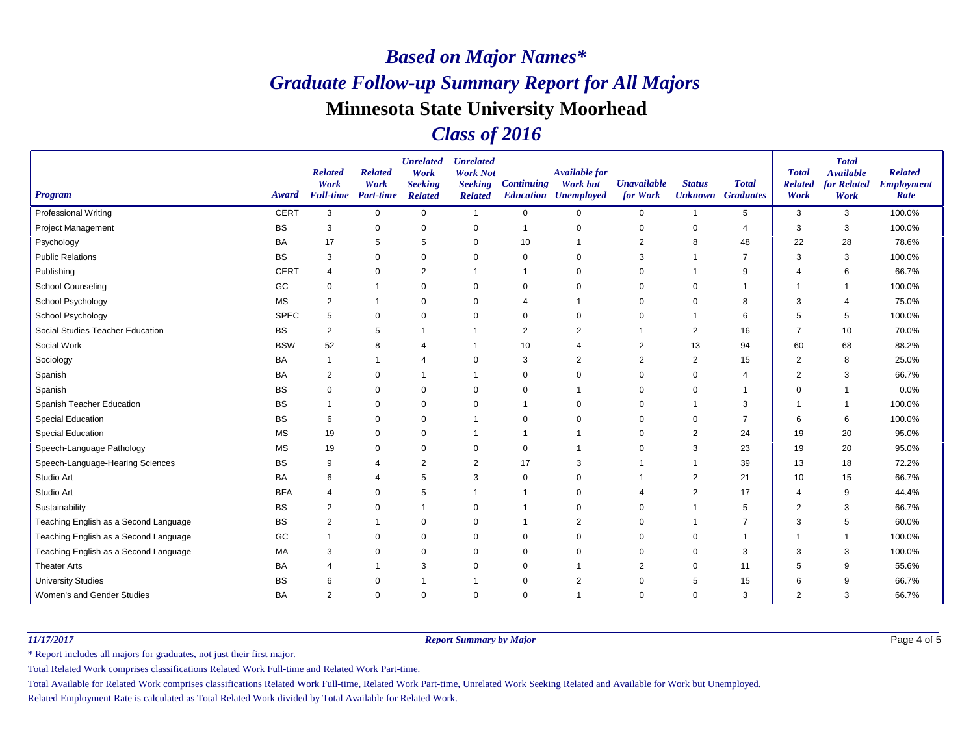### *Class of 2016*

| <b>Program</b>                        | Award       | <b>Related</b><br>Work<br><b>Full-time</b> | <b>Related</b><br>Work<br><b>Part-time</b> | <b>Unrelated</b><br>Work<br><b>Seeking</b><br><b>Related</b> | <b>Unrelated</b><br><b>Work Not</b><br><b>Seeking</b><br><b>Related</b> | <b>Continuing</b> | <b>Available for</b><br><b>Work but</b><br><b>Education Unemployed</b> | <b>Unavailable</b><br>for Work | <b>Status</b>  | <b>Total</b><br><b>Unknown</b> Graduates | <b>Total</b><br><b>Related</b><br>Work | <b>Total</b><br><b>Available</b><br>for Related<br>Work | <b>Related</b><br><b>Employment</b><br>Rate |
|---------------------------------------|-------------|--------------------------------------------|--------------------------------------------|--------------------------------------------------------------|-------------------------------------------------------------------------|-------------------|------------------------------------------------------------------------|--------------------------------|----------------|------------------------------------------|----------------------------------------|---------------------------------------------------------|---------------------------------------------|
| <b>Professional Writing</b>           | <b>CERT</b> | 3                                          | $\mathbf 0$                                | $\mathbf 0$                                                  | $\mathbf{1}$                                                            | $\mathbf 0$       | 0                                                                      | 0                              | 1              | $5\phantom{.0}$                          | 3                                      | 3                                                       | 100.0%                                      |
| <b>Project Management</b>             | <b>BS</b>   | 3                                          | 0                                          | $\mathbf 0$                                                  | 0                                                                       |                   | $\mathbf 0$                                                            | 0                              | $\mathbf 0$    | 4                                        | 3                                      | 3                                                       | 100.0%                                      |
| Psychology                            | BA          | 17                                         | 5                                          | 5                                                            | 0                                                                       | 10                |                                                                        | 2                              | 8              | 48                                       | 22                                     | 28                                                      | 78.6%                                       |
| <b>Public Relations</b>               | <b>BS</b>   | 3                                          | 0                                          | $\mathbf 0$                                                  | 0                                                                       | 0                 | $\Omega$                                                               | 3                              |                | $\overline{7}$                           | 3                                      | 3                                                       | 100.0%                                      |
| Publishing                            | <b>CERT</b> | $\overline{4}$                             | $\mathbf 0$                                | $\overline{2}$                                               | $\mathbf 1$                                                             |                   | $\Omega$                                                               | 0                              |                | 9                                        |                                        | 6                                                       | 66.7%                                       |
| <b>School Counseling</b>              | GC          | 0                                          | -1                                         | 0                                                            | 0                                                                       | $\mathbf 0$       | $\Omega$                                                               | 0                              | $\Omega$       |                                          |                                        | -1                                                      | 100.0%                                      |
| School Psychology                     | <b>MS</b>   | 2                                          | -1                                         | 0                                                            | 0                                                                       | 4                 |                                                                        | 0                              | 0              | 8                                        | 3                                      | 4                                                       | 75.0%                                       |
| School Psychology                     | <b>SPEC</b> | 5                                          | $\mathbf 0$                                | $\mathbf 0$                                                  | $\mathbf 0$                                                             | $\Omega$          | $\Omega$                                                               | 0                              |                | 6                                        | 5                                      | 5                                                       | 100.0%                                      |
| Social Studies Teacher Education      | BS          | 2                                          | 5                                          | $\overline{1}$                                               | $\mathbf 1$                                                             | $\overline{2}$    | $\overline{2}$                                                         | 1                              | $\overline{2}$ | 16                                       | $\overline{7}$                         | 10                                                      | 70.0%                                       |
| Social Work                           | <b>BSW</b>  | 52                                         | 8                                          |                                                              |                                                                         | 10                | 4                                                                      | 2                              | 13             | 94                                       | 60                                     | 68                                                      | 88.2%                                       |
| Sociology                             | <b>BA</b>   | 1                                          | $\mathbf 1$                                | $\overline{4}$                                               | 0                                                                       | 3                 | $\overline{2}$                                                         | $\overline{2}$                 | $\overline{2}$ | 15                                       | $\overline{2}$                         | 8                                                       | 25.0%                                       |
| Spanish                               | BA          | 2                                          | 0                                          | $\overline{1}$                                               | $\mathbf 1$                                                             | 0                 | $\Omega$                                                               | 0                              | $\mathbf 0$    | 4                                        | $\overline{2}$                         | 3                                                       | 66.7%                                       |
| Spanish                               | <b>BS</b>   | 0                                          | 0                                          | 0                                                            | 0                                                                       | 0                 |                                                                        | 0                              | 0              |                                          | $\Omega$                               | 1                                                       | 0.0%                                        |
| Spanish Teacher Education             | BS          |                                            | $\pmb{0}$                                  | $\pmb{0}$                                                    | 0                                                                       |                   | $\Omega$                                                               | 0                              | -1             | 3                                        |                                        | -1                                                      | 100.0%                                      |
| <b>Special Education</b>              | <b>BS</b>   | 6                                          | $\Omega$                                   | $\pmb{0}$                                                    |                                                                         | $\Omega$          | $\Omega$                                                               | 0                              | $\Omega$       | $\overline{7}$                           | 6                                      | 6                                                       | 100.0%                                      |
| <b>Special Education</b>              | <b>MS</b>   | 19                                         | 0                                          | $\mathbf 0$                                                  |                                                                         |                   |                                                                        | $\Omega$                       | 2              | 24                                       | 19                                     | 20                                                      | 95.0%                                       |
| Speech-Language Pathology             | <b>MS</b>   | 19                                         | $\mathbf 0$                                | $\mathbf 0$                                                  | $\mathbf 0$                                                             | $\mathbf 0$       |                                                                        | 0                              | 3              | 23                                       | 19                                     | 20                                                      | 95.0%                                       |
| Speech-Language-Hearing Sciences      | <b>BS</b>   | 9                                          | 4                                          | $\overline{2}$                                               | 2                                                                       | 17                | 3                                                                      |                                | -1             | 39                                       | 13                                     | 18                                                      | 72.2%                                       |
| Studio Art                            | BA          | 6                                          | 4                                          | 5                                                            | 3                                                                       | $\mathbf 0$       | $\Omega$                                                               |                                | 2              | 21                                       | 10                                     | 15                                                      | 66.7%                                       |
| Studio Art                            | <b>BFA</b>  | 4                                          | 0                                          | 5                                                            |                                                                         |                   | 0                                                                      | 4                              | 2              | 17                                       | 4                                      | 9                                                       | 44.4%                                       |
| Sustainability                        | <b>BS</b>   | 2                                          | 0                                          | $\mathbf 1$                                                  | 0                                                                       |                   | $\Omega$                                                               | 0                              |                | 5                                        | $\overline{2}$                         | 3                                                       | 66.7%                                       |
| Teaching English as a Second Language | <b>BS</b>   | 2                                          |                                            | $\mathbf 0$                                                  | $\mathbf 0$                                                             |                   | $\overline{2}$                                                         | 0                              |                |                                          | 3                                      | 5                                                       | 60.0%                                       |
| Teaching English as a Second Language | GC          |                                            | 0                                          | $\mathbf 0$                                                  | 0                                                                       | 0                 | $\Omega$                                                               | 0                              | 0              |                                          |                                        | 1                                                       | 100.0%                                      |
| Teaching English as a Second Language | <b>MA</b>   | 3                                          | $\mathbf 0$                                | $\mathbf 0$                                                  | $\mathbf 0$                                                             | $\Omega$          | $\Omega$                                                               | $\Omega$                       | $\mathbf 0$    | 3                                        | 3                                      | 3                                                       | 100.0%                                      |
| <b>Theater Arts</b>                   | BA          | 4                                          | -1                                         | 3                                                            | $\mathbf 0$                                                             | $\Omega$          |                                                                        | 2                              | $\mathbf 0$    | 11                                       | 5                                      | 9                                                       | 55.6%                                       |
| <b>University Studies</b>             | BS          | 6                                          | $\mathbf 0$                                | $\mathbf 1$                                                  | -1                                                                      | $\mathbf 0$       | $\overline{2}$                                                         | 0                              | 5              | 15                                       | 6                                      | 9                                                       | 66.7%                                       |
| Women's and Gender Studies            | BA          | 2                                          | $\mathbf 0$                                | $\mathbf 0$                                                  | $\mathbf 0$                                                             | $\mathbf 0$       |                                                                        | 0                              | $\mathbf 0$    | 3                                        | $\overline{2}$                         | 3                                                       | 66.7%                                       |

*11/17/2017 Report Summary by Major*

Page 4 of 5

\* Report includes all majors for graduates, not just their first major.

Total Related Work comprises classifications Related Work Full-time and Related Work Part-time.

Total Available for Related Work comprises classifications Related Work Full-time, Related Work Part-time, Unrelated Work Seeking Related and Available for Work but Unemployed.